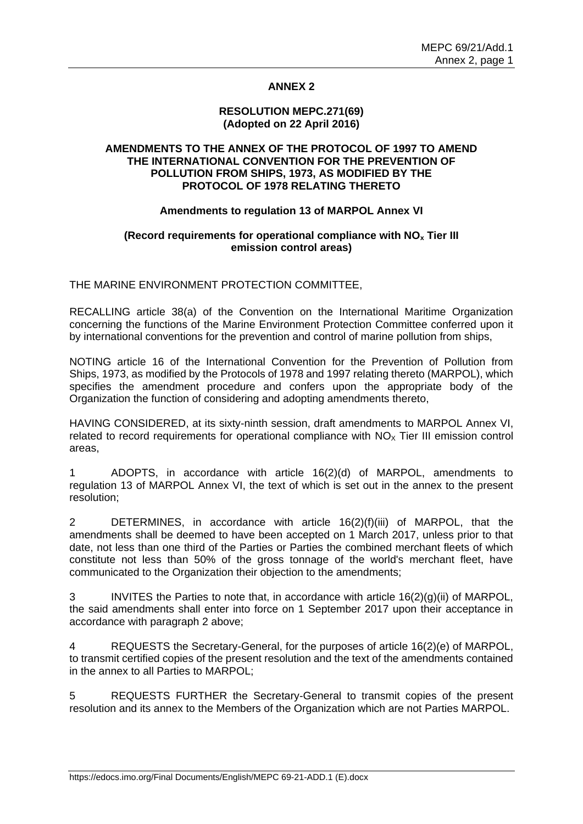# **ANNEX 2**

#### **RESOLUTION MEPC.271(69) (Adopted on 22 April 2016)**

## **AMENDMENTS TO THE ANNEX OF THE PROTOCOL OF 1997 TO AMEND THE INTERNATIONAL CONVENTION FOR THE PREVENTION OF POLLUTION FROM SHIPS, 1973, AS MODIFIED BY THE PROTOCOL OF 1978 RELATING THERETO**

## **Amendments to regulation 13 of MARPOL Annex VI**

## **(Record requirements for operational compliance with NO<sup>x</sup> Tier III emission control areas)**

THE MARINE ENVIRONMENT PROTECTION COMMITTEE,

RECALLING article 38(a) of the Convention on the International Maritime Organization concerning the functions of the Marine Environment Protection Committee conferred upon it by international conventions for the prevention and control of marine pollution from ships,

NOTING article 16 of the International Convention for the Prevention of Pollution from Ships, 1973, as modified by the Protocols of 1978 and 1997 relating thereto (MARPOL), which specifies the amendment procedure and confers upon the appropriate body of the Organization the function of considering and adopting amendments thereto,

HAVING CONSIDERED, at its sixty-ninth session, draft amendments to MARPOL Annex VI, related to record requirements for operational compliance with  $NO<sub>x</sub>$  Tier III emission control areas,

1 ADOPTS, in accordance with article 16(2)(d) of MARPOL, amendments to regulation 13 of MARPOL Annex VI, the text of which is set out in the annex to the present resolution;

2 DETERMINES, in accordance with article 16(2)(f)(iii) of MARPOL, that the amendments shall be deemed to have been accepted on 1 March 2017, unless prior to that date, not less than one third of the Parties or Parties the combined merchant fleets of which constitute not less than 50% of the gross tonnage of the world's merchant fleet, have communicated to the Organization their objection to the amendments;

3 INVITES the Parties to note that, in accordance with article 16(2)(g)(ii) of MARPOL, the said amendments shall enter into force on 1 September 2017 upon their acceptance in accordance with paragraph 2 above;

4 REQUESTS the Secretary-General, for the purposes of article 16(2)(e) of MARPOL, to transmit certified copies of the present resolution and the text of the amendments contained in the annex to all Parties to MARPOL;

5 REQUESTS FURTHER the Secretary-General to transmit copies of the present resolution and its annex to the Members of the Organization which are not Parties MARPOL.